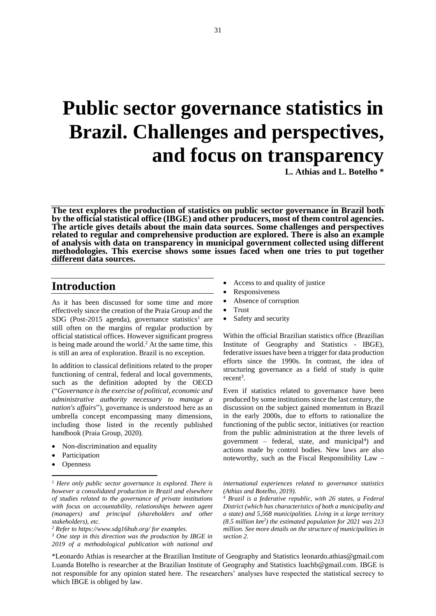# **Public sector governance statistics in Brazil. Challenges and perspectives, and focus on transparency**

**L. Athias and L. Botelho \***

**The text explores the production of statistics on public sector governance in Brazil both by the official statistical office (IBGE) and other producers, most of them control agencies. The article gives details about the main data sources. Some challenges and perspectives related to regular and comprehensive production are explored. There is also an example of analysis with data on transparency in municipal government collected using different methodologies. This exercise shows some issues faced when one tries to put together different data sources.** 

## **Introduction**

As it has been discussed for some time and more effectively since the creation of the Praia Group and the  $SDG$  (Post-2015 agenda), governance statistics<sup>1</sup> are still often on the margins of regular production by official statistical offices. However significant progress is being made around the world. <sup>2</sup> At the same time, this is still an area of exploration. Brazil is no exception.

In addition to classical definitions related to the proper functioning of central, federal and local governments, such as the definition adopted by the OECD ("*Governance is the exercise of political, economic and administrative authority necessary to manage a nation's affairs*"), governance is understood here as an umbrella concept encompassing many dimensions, including those listed in the recently published handbook (Praia Group, 2020).

- Non-discrimination and equality
- **Participation**
- **Openness**
- Responsiveness
- Absence of corruption
- Trust
- Safety and security

Within the official Brazilian statistics office (Brazilian Institute of Geography and Statistics - IBGE), federative issues have been a trigger for data production efforts since the 1990s. In contrast, the idea of structuring governance as a field of study is quite recent<sup>3</sup>.

Even if statistics related to governance have been produced by some institutions since the last century, the discussion on the subject gained momentum in Brazil in the early 2000s, due to efforts to rationalize the functioning of the public sector, initiatives (or reaction from the public administration at the three levels of government - federal, state, and municipal<sup>4</sup>) and actions made by control bodies. New laws are also noteworthy, such as the Fiscal Responsibility Law –

*international experiences related to governance statistics (Athias and Botelho, 2019).*

*<sup>4</sup> Brazil is a federative republic, with 26 states, a Federal District (which has characteristics of both a municipality and a state) and 5,568 municipalities. Living in a large territory (8.5 million km<sup>2</sup> ) the estimated population for 2021 was 213 million. See more details on the structure of municipalities in section 2.*

\*Leonardo Athias is researcher at the Brazilian Institute of Geography and Statistics leonardo.athias@gmail.com Luanda Botelho is researcher at the Brazilian Institute of Geography and Statistics [luachb@gmail.com.](mailto:luachb@gmail.com) IBGE is not responsible for any opinion stated here. The researchers' analyses have respected the statistical secrecy to which IBGE is obliged by law.

*<sup>1</sup> Here only public sector governance is explored. There is however a consolidated production in Brazil and elsewhere of studies related to the governance of private institutions with focus on accountability, relationships between agent (managers) and principal (shareholders and other stakeholders), etc.*

*<sup>2</sup> Refer to<https://www.sdg16hub.org/> for examples.*

*<sup>3</sup> One step in this direction was the production by IBGE in 2019 of a methodological publication with national and* 

<sup>•</sup> Access to and quality of justice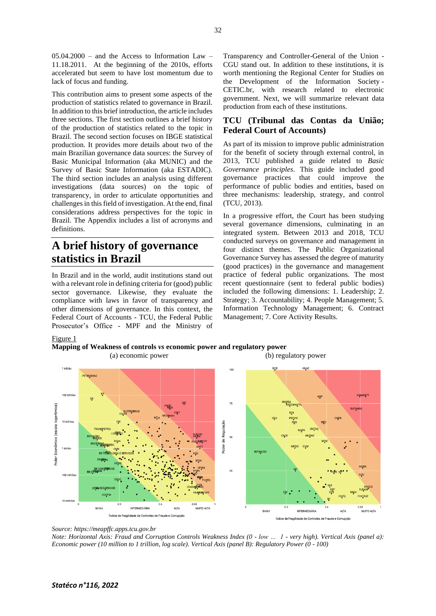05.04.2000 – and the Access to Information Law – 11.18.2011. At the beginning of the 2010s, efforts accelerated but seem to have lost momentum due to lack of focus and funding.

This contribution aims to present some aspects of the production of statistics related to governance in Brazil. In addition to this brief introduction, the article includes three sections. The first section outlines a brief history of the production of statistics related to the topic in Brazil. The second section focuses on IBGE statistical production. It provides more details about two of the main Brazilian governance data sources: the Survey of Basic Municipal Information (aka MUNIC) and the Survey of Basic State Information (aka ESTADIC). The third section includes an analysis using different investigations (data sources) on the topic of transparency, in order to articulate opportunities and challenges in this field of investigation. At the end, final considerations address perspectives for the topic in Brazil. The Appendix includes a list of acronyms and definitions.

# **A brief history of governance statistics in Brazil**

In Brazil and in the world, audit institutions stand out with a relevant role in defining criteria for (good) public sector governance. Likewise, they evaluate the compliance with laws in favor of transparency and other dimensions of governance. In this context, the Federal Court of Accounts - TCU, the Federal Public Prosecutor's Office - MPF and the Ministry of Transparency and Controller-General of the Union - CGU stand out. In addition to these institutions, it is worth mentioning the Regional Center for Studies on the Development of the Information Society - CETIC.br, with research related to electronic government. Next, we will summarize relevant data production from each of these institutions.

## **TCU (Tribunal das Contas da União; Federal Court of Accounts)**

As part of its mission to improve public administration for the benefit of society through external control, in 2013, TCU published a guide related to *Basic Governance principles*. This guide included good governance practices that could improve the performance of public bodies and entities, based on three mechanisms: leadership, strategy, and control (TCU, 2013).

In a progressive effort, the Court has been studying several governance dimensions, culminating in an integrated system. Between 2013 and 2018, TCU conducted surveys on governance and management in four distinct themes. The Public Organizational Governance Survey has assessed the degree of maturity (good practices) in the governance and management practice of federal public organizations. The most recent questionnaire (sent to federal public bodies) included the following dimensions: 1. Leadership; 2. Strategy; 3. Accountability; 4. People Management; 5. Information Technology Management; 6. Contract Management; 7. Core Activity Results.

#### Figure 1







*Note: Horizontal Axis: Fraud and Corruption Controls Weakness Index (0 - low … 1 - very high). Vertical Axis (panel a): Economic power (10 million to 1 trillion, log scale). Vertical Axis (panel B): Regulatory Power (0 - 100)*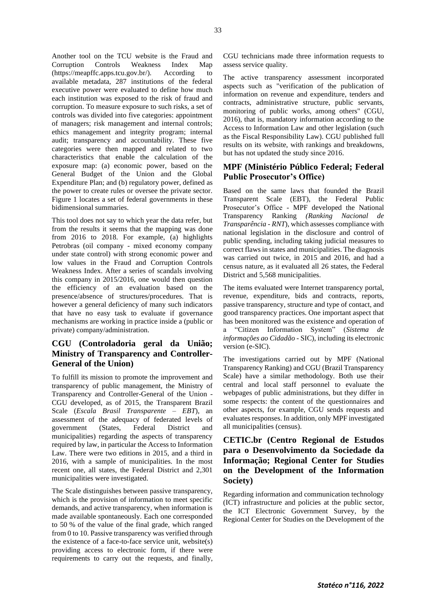Another tool on the TCU website is the Fraud and Corruption Controls Weakness Index Map (https://meapffc.apps.tcu.gov.br/). According to available metadata, 287 institutions of the federal executive power were evaluated to define how much each institution was exposed to the risk of fraud and corruption. To measure exposure to such risks, a set of controls was divided into five categories: appointment of managers; risk management and internal controls; ethics management and integrity program; internal audit; transparency and accountability. These five categories were then mapped and related to two characteristics that enable the calculation of the exposure map: (a) economic power, based on the General Budget of the Union and the Global Expenditure Plan; and (b) regulatory power, defined as the power to create rules or oversee the private sector. Figure 1 locates a set of federal governments in these bidimensional summaries.

This tool does not say to which year the data refer, but from the results it seems that the mapping was done from 2016 to 2018. For example, (a) highlights Petrobras (oil company - mixed economy company under state control) with strong economic power and low values in the Fraud and Corruption Controls Weakness Index. After a series of scandals involving this company in 2015/2016, one would then question the efficiency of an evaluation based on the presence/absence of structures/procedures. That is however a general deficiency of many such indicators that have no easy task to evaluate if governance mechanisms are working in practice inside a (public or private) company/administration.

## **CGU (Controladoria geral da União; Ministry of Transparency and Controller-General of the Union)**

To fulfill its mission to promote the improvement and transparency of public management, the Ministry of Transparency and Controller-General of the Union - CGU developed, as of 2015, the Transparent Brazil Scale (*Escala Brasil Transparente – EBT*), an assessment of the adequacy of federated levels of government (States, Federal District and municipalities) regarding the aspects of transparency required by law, in particular the Access to Information Law. There were two editions in 2015, and a third in 2016, with a sample of municipalities. In the most recent one, all states, the Federal District and 2,301 municipalities were investigated.

The Scale distinguishes between passive transparency, which is the provision of information to meet specific demands, and active transparency, when information is made available spontaneously. Each one corresponded to 50 % of the value of the final grade, which ranged from 0 to 10. Passive transparency was verified through the existence of a face-to-face service unit, website(s) providing access to electronic form, if there were requirements to carry out the requests, and finally, CGU technicians made three information requests to assess service quality.

The active transparency assessment incorporated aspects such as "verification of the publication of information on revenue and expenditure, tenders and contracts, administrative structure, public servants, monitoring of public works, among others" (CGU, 2016), that is, mandatory information according to the Access to Information Law and other legislation (such as the Fiscal Responsibility Law). CGU published full results on its website, with rankings and breakdowns, but has not updated the study since 2016.

## **MPF (Ministério Público Federal; Federal Public Prosecutor's Office)**

Based on the same laws that founded the Brazil Transparent Scale (EBT), the Federal Public Prosecutor's Office - MPF developed the National Transparency Ranking *(Ranking Nacional de Transparência - RNT*), which assesses compliance with national legislation in the disclosure and control of public spending, including taking judicial measures to correct flaws in states and municipalities. The diagnosis was carried out twice, in 2015 and 2016, and had a census nature, as it evaluated all 26 states, the Federal District and 5,568 municipalities.

The items evaluated were Internet transparency portal, revenue, expenditure, bids and contracts, reports, passive transparency, structure and type of contact, and good transparency practices. One important aspect that has been monitored was the existence and operation of a "Citizen Information System" (*Sistema de informações ao Cidadão* - SIC), including its electronic version (e-SIC).

The investigations carried out by MPF (National Transparency Ranking) and CGU (Brazil Transparency Scale) have a similar methodology. Both use their central and local staff personnel to evaluate the webpages of public administrations, but they differ in some respects: the content of the questionnaires and other aspects, for example, CGU sends requests and evaluates responses. In addition, only MPF investigated all municipalities (census).

## **CETIC.br (Centro Regional de Estudos para o Desenvolvimento da Sociedade da Informação; Regional Center for Studies on the Development of the Information Society)**

Regarding information and communication technology (ICT) infrastructure and policies at the public sector, the ICT Electronic Government Survey, by the Regional Center for Studies on the Development of the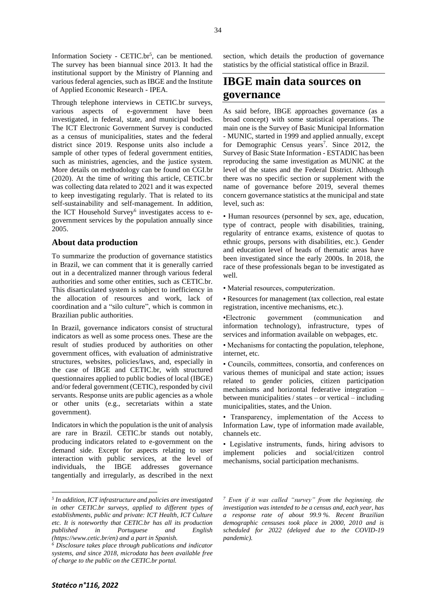Information Society - CETIC.br<sup>5</sup>, can be mentioned. The survey has been biannual since 2013. It had the institutional support by the Ministry of Planning and various federal agencies, such as IBGE and the Institute of Applied Economic Research - IPEA.

Through telephone interviews in CETIC.br surveys, various aspects of e-government have been investigated, in federal, state, and municipal bodies. The ICT Electronic Government Survey is conducted as a census of municipalities, states and the federal district since 2019. Response units also include a sample of other types of federal government entities, such as ministries, agencies, and the justice system. More details on methodology can be found on CGI.br (2020). At the time of writing this article, CETIC.br was collecting data related to 2021 and it was expected to keep investigating regularly. That is related to its self-sustainability and self-management. In addition, the ICT Household Survey<sup>6</sup> investigates access to egovernment services by the population annually since 2005.

#### **About data production**

To summarize the production of governance statistics in Brazil, we can comment that it is generally carried out in a decentralized manner through various federal authorities and some other entities, such as CETIC.br. This disarticulated system is subject to inefficiency in the allocation of resources and work, lack of coordination and a "silo culture", which is common in Brazilian public authorities.

In Brazil, governance indicators consist of structural indicators as well as some process ones. These are the result of studies produced by authorities on other government offices, with evaluation of administrative structures, websites, policies/laws, and, especially in the case of IBGE and CETIC.br, with structured questionnaires applied to public bodies of local (IBGE) and/or federal government (CETIC), responded by civil servants. Response units are public agencies as a whole or other units (e.g., secretariats within a state government).

Indicators in which the population is the unit of analysis are rare in Brazil. CETIC.br stands out notably, producing indicators related to e-government on the demand side. Except for aspects relating to user interaction with public services, at the level of individuals, the IBGE addresses governance tangentially and irregularly, as described in the next

section, which details the production of governance statistics by the official statistical office in Brazil.

# **IBGE main data sources on governance**

As said before, IBGE approaches governance (as a broad concept) with some statistical operations. The main one is the Survey of Basic Municipal Information - MUNIC, started in 1999 and applied annually, except for Demographic Census years<sup>7</sup>. Since 2012, the Survey of Basic State Information - ESTADIC has been reproducing the same investigation as MUNIC at the level of the states and the Federal District. Although there was no specific section or supplement with the name of governance before 2019, several themes concern governance statistics at the municipal and state level, such as:

• Human resources (personnel by sex, age, education, type of contract, people with disabilities, training, regularity of entrance exams, existence of quotas to ethnic groups, persons with disabilities, etc.). Gender and education level of heads of thematic areas have been investigated since the early 2000s. In 2018, the race of these professionals began to be investigated as well.

• Material resources, computerization.

• Resources for management (tax collection, real estate registration, incentive mechanisms, etc.).

•Electronic government (communication and information technology), infrastructure, types of services and information available on webpages, etc.

• Mechanisms for contacting the population, telephone, internet, etc.

• Councils, committees, consortia, and conferences on various themes of municipal and state action; issues related to gender policies, citizen participation mechanisms and horizontal federative integration – between municipalities / states – or vertical – including municipalities, states, and the Union.

• Transparency, implementation of the Access to Information Law, type of information made available, channels etc.

• Legislative instruments, funds, hiring advisors to implement policies and social/citizen control mechanisms, social participation mechanisms.

*<sup>5</sup> In addition, ICT infrastructure and policies are investigated in other CETIC.br surveys, applied to different types of establishments, public and private: ICT Health, ICT Culture etc. It is noteworthy that CETIC.br has all its production published in Portuguese and English [\(https://www.cetic.br/en\)](https://www.cetic.br/en) and a part in Spanish.*

*<sup>6</sup> Disclosure takes place through publications and indicator systems, and since 2018, microdata has been available free of charge to the public on the CETIC.br portal.*

*<sup>7</sup> Even if it was called "survey" from the beginning, the investigation was intended to be a census and, each year, has a response rate of about 99.9 %. Recent Brazilian demographic censuses took place in 2000, 2010 and is scheduled for 2022 (delayed due to the COVID-19 pandemic).*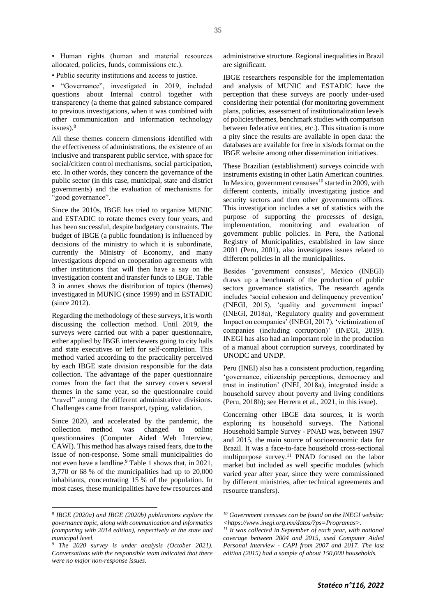• Human rights (human and material resources allocated, policies, funds, commissions etc.).

• Public security institutions and access to justice.

• "Governance", investigated in 2019, included questions about Internal control together with transparency (a theme that gained substance compared to previous investigations, when it was combined with other communication and information technology issues).<sup>8</sup>

All these themes concern dimensions identified with the effectiveness of administrations, the existence of an inclusive and transparent public service, with space for social/citizen control mechanisms, social participation, etc. In other words, they concern the governance of the public sector (in this case, municipal, state and district governments) and the evaluation of mechanisms for "good governance".

Since the 2010s, IBGE has tried to organize MUNIC and ESTADIC to rotate themes every four years, and has been successful, despite budgetary constraints. The budget of IBGE (a public foundation) is influenced by decisions of the ministry to which it is subordinate, currently the Ministry of Economy, and many investigations depend on cooperation agreements with other institutions that will then have a say on the investigation content and transfer funds to IBGE. Table 3 in annex shows the distribution of topics (themes) investigated in MUNIC (since 1999) and in ESTADIC (since 2012).

Regarding the methodology of these surveys, it is worth discussing the collection method. Until 2019, the surveys were carried out with a paper questionnaire, either applied by IBGE interviewers going to city halls and state executives or left for self-completion. This method varied according to the practicality perceived by each IBGE state division responsible for the data collection. The advantage of the paper questionnaire comes from the fact that the survey covers several themes in the same year, so the questionnaire could "travel" among the different administrative divisions. Challenges came from transport, typing, validation.

Since 2020, and accelerated by the pandemic, the collection method was changed to online questionnaires (Computer Aided Web Interview, CAWI). This method has always raised fears, due to the issue of non-response. Some small municipalities do not even have a landline. <sup>9</sup> Table 1 shows that, in 2021, 3,770 or 68 % of the municipalities had up to 20,000 inhabitants, concentrating 15 % of the population. In most cases, these municipalities have few resources and

administrative structure. Regional inequalities in Brazil are significant.

IBGE researchers responsible for the implementation and analysis of MUNIC and ESTADIC have the perception that these surveys are poorly under-used considering their potential (for monitoring government plans, policies, assessment of institutionalization levels of policies/themes, benchmark studies with comparison between federative entities, etc.). This situation is more a pity since the results are available in open data: the databases are available for free in xls/ods format on the IBGE website among other dissemination initiatives.

These Brazilian (establishment) surveys coincide with instruments existing in other Latin American countries. In Mexico, government censuses<sup>10</sup> started in 2009, with different contents, initially investigating justice and security sectors and then other governments offices. This investigation includes a set of statistics with the purpose of supporting the processes of design, implementation, monitoring and evaluation of government public policies. In Peru, the National Registry of Municipalities, established in law since 2001 (Peru, 2001), also investigates issues related to different policies in all the municipalities.

Besides 'government censuses', Mexico (INEGI) draws up a benchmark of the production of public sectors governance statistics. The research agenda includes 'social cohesion and delinquency prevention' (INEGI, 2015), 'quality and government impact' (INEGI, 2018a), 'Regulatory quality and government Impact on companies' (INEGI, 2017), 'victimization of companies (including corruption)' (INEGI, 2019). INEGI has also had an important role in the production of a manual about corruption surveys, coordinated by UNODC and UNDP.

Peru (INEI) also has a consistent production, regarding 'governance, citizenship perceptions, democracy and trust in institution' (INEI, 2018a), integrated inside a household survey about poverty and living conditions (Peru, 2018b); see Herrera et al., 2021, in this issue).

Concerning other IBGE data sources, it is worth exploring its household surveys. The National Household Sample Survey - PNAD was, between 1967 and 2015, the main source of socioeconomic data for Brazil. It was a face-to-face household cross-sectional multipurpose survey.<sup>11</sup> PNAD focused on the labor market but included as well specific modules (which varied year after year, since they were commissioned by different ministries, after technical agreements and resource transfers).

*<sup>8</sup> IBGE (2020a) and IBGE (2020b) publications explore the governance topic, along with communication and informatics (comparing with 2014 edition), respectively at the state and municipal level.*

*<sup>9</sup> The 2020 survey is under analysis (October 2021). Conversations with the responsible team indicated that there were no major non-response issues.*

*<sup>10</sup> Government censuses can be found on the INEGI website: <https://www.inegi.org.mx/datos/?ps=Programas>.*

*<sup>11</sup> It was collected in September of each year, with national coverage between 2004 and 2015, used Computer Aided Personal Interview - CAPI from 2007 and 2017. The last edition (2015) had a sample of about 150,000 households.*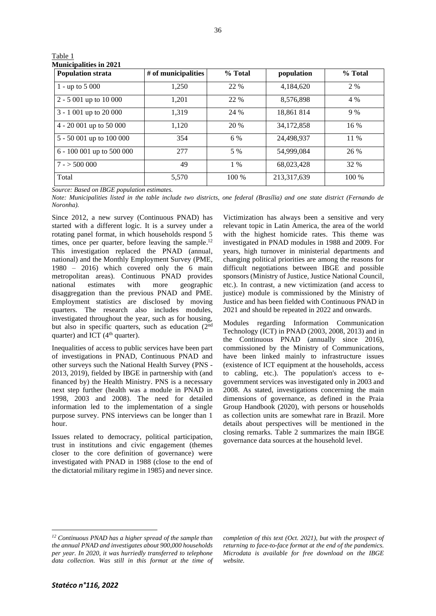| <b>Population strata</b>  | # of municipalities | % Total | population  | % Total |
|---------------------------|---------------------|---------|-------------|---------|
| 1 - up to $5000$          | 1,250               | 22 %    | 4,184,620   | 2 %     |
| $2 - 5001$ up to 10000    | 1,201               | 22 %    | 8,576,898   | 4 %     |
| 3 - 1 001 up to 20 000    | 1,319               | 24 %    | 18,861 814  | 9%      |
| $4 - 20001$ up to 50 000  | 1,120               | 20 %    | 34,172,858  | 16 %    |
| 5 - 50 001 up to 100 000  | 354                 | 6 %     | 24,498,937  | 11 %    |
| 6 - 100 001 up to 500 000 | 277                 | 5 %     | 54,999,084  | 26 %    |
| $7 - 500000$              | 49                  | 1 %     | 68,023,428  | 32 %    |
| Total                     | 5,570               | 100 %   | 213,317,639 | 100 %   |

| Table 1                       |  |
|-------------------------------|--|
| <b>Municipalities in 2021</b> |  |

*Source: Based on IBGE population estimates.*

*Note: Municipalities listed in the table include two districts, one federal (Brasília) and one state district (Fernando de Noronha).*

Since 2012, a new survey (Continuous PNAD) has started with a different logic. It is a survey under a rotating panel format, in which households respond 5 times, once per quarter, before leaving the sample.<sup>12</sup> This investigation replaced the PNAD (annual, national) and the Monthly Employment Survey (PME, 1980 – 2016) which covered only the 6 main metropolitan areas). Continuous PNAD provides national estimates with more geographic disaggregation than the previous PNAD and PME. Employment statistics are disclosed by moving quarters. The research also includes modules, investigated throughout the year, such as for housing, but also in specific quarters, such as education (2nd quarter) and ICT  $(4<sup>th</sup>$  quarter).

Inequalities of access to public services have been part of investigations in PNAD, Continuous PNAD and other surveys such the National Health Survey (PNS - 2013, 2019), fielded by IBGE in partnership with (and financed by) the Health Ministry. PNS is a necessary next step further (health was a module in PNAD in 1998, 2003 and 2008). The need for detailed information led to the implementation of a single purpose survey. PNS interviews can be longer than 1 hour.

Issues related to democracy, political participation, trust in institutions and civic engagement (themes closer to the core definition of governance) were investigated with PNAD in 1988 (close to the end of the dictatorial military regime in 1985) and never since.

Victimization has always been a sensitive and very relevant topic in Latin America, the area of the world with the highest homicide rates. This theme was investigated in PNAD modules in 1988 and 2009. For years, high turnover in ministerial departments and changing political priorities are among the reasons for difficult negotiations between IBGE and possible sponsors (Ministry of Justice, Justice National Council, etc.). In contrast, a new victimization (and access to justice) module is commissioned by the Ministry of Justice and has been fielded with Continuous PNAD in 2021 and should be repeated in 2022 and onwards.

Modules regarding Information Communication Technology (ICT) in PNAD (2003, 2008, 2013) and in the Continuous PNAD (annually since 2016), commissioned by the Ministry of Communications, have been linked mainly to infrastructure issues (existence of ICT equipment at the households, access to cabling, etc.). The population's access to egovernment services was investigated only in 2003 and 2008. As stated, investigations concerning the main dimensions of governance, as defined in the Praia Group Handbook (2020), with persons or households as collection units are somewhat rare in Brazil. More details about perspectives will be mentioned in the closing remarks. Table 2 summarizes the main IBGE governance data sources at the household level.

*completion of this text (Oct. 2021), but with the prospect of returning to face-to-face format at the end of the pandemics. Microdata is available for free download on the IBGE website.*

*<sup>12</sup> Continuous PNAD has a higher spread of the sample than the annual PNAD and investigates about 900,000 households per year. In 2020, it was hurriedly transferred to telephone data collection. Was still in this format at the time of*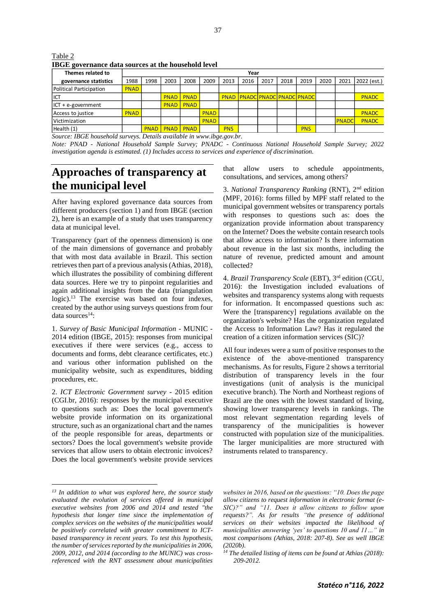| Table 2                                                    |  |  |
|------------------------------------------------------------|--|--|
| <b>IBGE</b> governance data sources at the household level |  |  |
|                                                            |  |  |

| Themes related to       |             | Year |                       |                  |             |            |      |      |      |                                     |      |              |              |  |
|-------------------------|-------------|------|-----------------------|------------------|-------------|------------|------|------|------|-------------------------------------|------|--------------|--------------|--|
| governance statistics   | 1988        | 1998 | 2003                  | 2008             | 2009        | 2013       | 2016 | 2017 | 2018 | 2019                                | 2020 | 2021         | 2022 (est.)  |  |
| Political Participation | <b>PNAD</b> |      |                       |                  |             |            |      |      |      |                                     |      |              |              |  |
| <b>ICT</b>              |             |      |                       | <b>PNAD PNAD</b> |             |            |      |      |      | <b>PNAD PNADC PNADC PNADC PNADC</b> |      |              | <b>PNADC</b> |  |
| $ ICT + e-gover$ ment   |             |      | <b>PNAD</b>           | <b>PNAD</b>      |             |            |      |      |      |                                     |      |              |              |  |
| Access to justice       | <b>PNAD</b> |      |                       |                  | <b>PNAD</b> |            |      |      |      |                                     |      |              | <b>PNADC</b> |  |
| <b>Victimization</b>    |             |      |                       |                  | <b>PNAD</b> |            |      |      |      |                                     |      | <b>PNADC</b> | <b>PNADC</b> |  |
| Health (1)              |             |      | <b>PNAD PNAD PNAD</b> |                  |             | <b>PNS</b> |      |      |      | <b>PNS</b>                          |      |              |              |  |

*Source: IBGE household surveys. Details available in www.ibge.gov.br.*

*Note: PNAD - National Household Sample Survey; PNADC - Continuous National Household Sample Survey; 2022 investigation agenda is estimated. (1) Includes access to services and experience of discrimination.*

# **Approaches of transparency at the municipal level**

After having explored governance data sources from different producers (section 1) and from IBGE (section 2), here is an example of a study that uses transparency data at municipal level.

Transparency (part of the openness dimension) is one of the main dimensions of governance and probably that with most data available in Brazil. This section retrieves then part of a previous analysis (Athias, 2018), which illustrates the possibility of combining different data sources. Here we try to pinpoint regularities and again additional insights from the data (triangulation logic).<sup>13</sup> The exercise was based on four indexes, created by the author using surveys questions from four data sources<sup>14</sup>:

1. *Survey of Basic Municipal Information* - MUNIC - 2014 edition (IBGE, 2015): responses from municipal executives if there were services (e.g., access to documents and forms, debt clearance certificates, etc.) and various other information published on the municipality website, such as expenditures, bidding procedures, etc.

2. *ICT Electronic Government survey* - 2015 edition (CGI.br, 2016): responses by the municipal executive to questions such as: Does the local government's website provide information on its organizational structure, such as an organizational chart and the names of the people responsible for areas, departments or sectors? Does the local government's website provide services that allow users to obtain electronic invoices? Does the local government's website provide services

that allow users to schedule appointments, consultations, and services, among others?

3. *National Transparency Ranking* (RNT), 2nd edition (MPF, 2016): forms filled by MPF staff related to the municipal government websites or transparency portals with responses to questions such as: does the organization provide information about transparency on the Internet? Does the website contain research tools that allow access to information? Is there information about revenue in the last six months, including the nature of revenue, predicted amount and amount collected?

4. *Brazil Transparency Scale* (EBT), 3rd edition (CGU, 2016): the Investigation included evaluations of websites and transparency systems along with requests for information. It encompassed questions such as: Were the [transparency] regulations available on the organization's website? Has the organization regulated the Access to Information Law? Has it regulated the creation of a citizen information services (SIC)?

All four indexes were a sum of positive responses to the existence of the above-mentioned transparency mechanisms. As for results, Figure 2 shows a territorial distribution of transparency levels in the four investigations (unit of analysis is the municipal executive branch). The North and Northeast regions of Brazil are the ones with the lowest standard of living, showing lower transparency levels in rankings. The most relevant segmentation regarding levels of transparency of the municipalities is however constructed with population size of the municipalities. The larger municipalities are more structured with instruments related to transparency.

*<sup>13</sup> In addition to what was explored here, the source study evaluated the evolution of services offered in municipal executive websites from 2006 and 2014 and tested "the hypothesis that longer time since the implementation of complex services on the websites of the municipalities would be positively correlated with greater commitment to ICTbased transparency in recent years. To test this hypothesis, the number of services reported by the municipalities in 2006, 2009, 2012, and 2014 (according to the MUNIC) was crossreferenced with the RNT assessment about municipalities* 

*websites in 2016, based on the questions: "10. Does the page allow citizens to request information in electronic format (e-SIC)?" and "11. Does it allow citizens to follow upon requests?". As for results "the presence of additional services on their websites impacted the likelihood of municipalities answering 'yes' to questions 10 and 11…" in most comparisons (Athias, 2018: 207-8). See as well IBGE (2020b).*

*<sup>14</sup> The detailed listing of items can be found at Athias (2018): 209-2012.*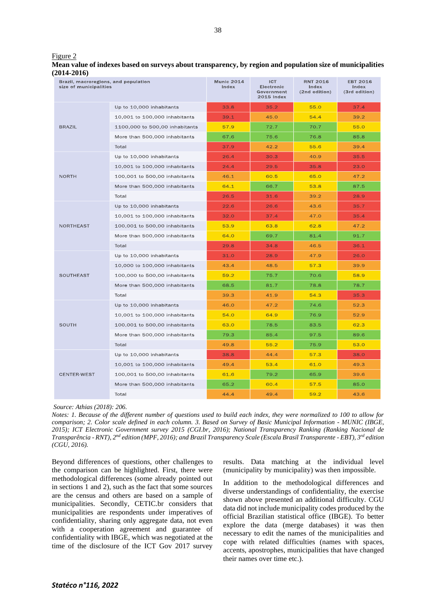| Brazil, macroregions, and population<br>size of municipalities |                                | <b>Munic 2014</b><br>Index | <b>ICT</b><br><b>Electronic</b><br>Government<br><b>2015 Index</b> | <b>RNT 2016</b><br>Index<br>(2nd edition) | EBT 2016<br>Index<br>(3rd edition) |  |  |
|----------------------------------------------------------------|--------------------------------|----------------------------|--------------------------------------------------------------------|-------------------------------------------|------------------------------------|--|--|
|                                                                | Up to 10,000 inhabitants       | 33.8                       | 35.2                                                               | 55.0                                      | 37.4                               |  |  |
|                                                                | 10,001 to 100,000 inhabitants  | 39.1                       | 45.0                                                               | 54.4                                      | 39.2                               |  |  |
| <b>BRAZIL</b>                                                  | 1100,000 to 500,00 inhabitants | 57.9                       | 72.7                                                               | 70.7                                      | 55.0                               |  |  |
|                                                                | More than 500,000 inhabitants  | 67.6                       | 75.6                                                               | 76.8                                      | 85.8                               |  |  |
|                                                                | Total                          | 37.9                       | 42.2                                                               | 55.6                                      | 39.4                               |  |  |
|                                                                | Up to 10,000 inhabitants       | 26.4                       | 30.3                                                               | 40.9                                      | 35.5                               |  |  |
|                                                                | 10,001 to 100,000 inhabitants  | 24.4                       | 29.5                                                               | 35.8                                      | 23.0                               |  |  |
| <b>NORTH</b>                                                   | 100,001 to 500,00 inhabitants  | 46.1                       | 60.5                                                               | 65.0                                      | 47.2                               |  |  |
|                                                                | More than 500,000 inhabitants  | 64.1                       | 66.7                                                               | 53.8                                      | 87.5                               |  |  |
|                                                                | Total                          | 26.5                       | 31.6                                                               | 39.2                                      | 28.9                               |  |  |
|                                                                | Up to 10,000 inhabitants       | 22.6                       | 26.6                                                               | 43.6                                      | 35.7                               |  |  |
|                                                                | 10,001 to 100,000 inhabitants  | 32.0                       | 37.4                                                               | 47.0                                      | 35.4                               |  |  |
| <b>NORTHEAST</b>                                               | 100,001 to 500,00 inhabitants  | 53.9                       | 63.8                                                               | 62.8                                      | 47.2                               |  |  |
|                                                                | More than 500,000 inhabitants  | 64.0                       | 69.7                                                               | 81.4                                      | 91.7                               |  |  |
|                                                                | Total                          | 29.8                       | 34.8                                                               | 46.5                                      | 36.1                               |  |  |
|                                                                | Up to 10,000 inhabitants       | 31.0                       | 28.9                                                               | 47.9                                      | 26.0                               |  |  |
|                                                                | 10,000 to 100,000 inhabitants  | 43.4                       | 48.5                                                               | 57.3                                      | 39.9                               |  |  |
| SOUTHEAST                                                      | 100,000 to 500,00 inhabitants  | 59.2                       | 75.7                                                               | 70.6                                      | 58.9                               |  |  |
|                                                                | More than 500,000 inhabitants  | 68.5                       | 81.7                                                               | 78.8                                      | 78.7                               |  |  |
|                                                                | Total                          | 39.3                       | 41.9                                                               | 54.3                                      | 35.3                               |  |  |
|                                                                | Up to 10,000 inhabitants       | 46.0                       | 47.2                                                               | 74.6                                      | 52.3                               |  |  |
|                                                                | 10,001 to 100,000 inhabitants  | 54.0                       | 64.9                                                               | 76.9                                      | 52.9                               |  |  |
| <b>SOUTH</b>                                                   | 100,001 to 500,00 inhabitants  | 63.0                       | 78.5                                                               | 83.5                                      | 62.3                               |  |  |
|                                                                | More than 500,000 inhabitants  | 79.3                       | 85.4                                                               | 97.5                                      | 89.6                               |  |  |
|                                                                | Total                          | 49.8                       | 55.2                                                               | 75.9                                      | 53.0                               |  |  |
|                                                                | Up to 10,000 inhabitants       | 38.8                       | 44.4                                                               | 57.3                                      | 38.0                               |  |  |
|                                                                | 10,001 to 100,000 inhabitants  | 49.4                       | 53.4                                                               | 61.0                                      | 49.3                               |  |  |
| <b>CENTER-WEST</b>                                             | 100,001 to 500,00 inhabitants  | 61.6                       | 79.2                                                               | 65.9                                      | 39.6                               |  |  |
|                                                                | More than 500,000 inhabitants  | 65.2                       | 60.4                                                               | 57.5                                      | 85.0                               |  |  |
|                                                                | Total                          | 44.4                       | 49.4                                                               | 59.2                                      | 43.6                               |  |  |

#### Figure 2 **Mean value of indexes based on surveys about transparency, by region and population size of municipalities (2014-2016)**

*Source: Athias (2018): 206.*

*Notes: 1. Because of the different number of questions used to build each index, they were normalized to 100 to allow for comparison; 2. Color scale defined in each column. 3. Based on Survey of Basic Municipal Information - MUNIC (IBGE, 2015); ICT Electronic Government survey 2015 (CGI.br, 2016); National Transparency Ranking (Ranking Nacional de Transparência - RNT), 2nd edition (MPF, 2016); and Brazil Transparency Scale (Escala Brasil Transparente - EBT), 3rd edition (CGU, 2016).*

Beyond differences of questions, other challenges to the comparison can be highlighted. First, there were methodological differences (some already pointed out in sections 1 and 2), such as the fact that some sources are the census and others are based on a sample of municipalities. Secondly, CETIC.br considers that municipalities are respondents under imperatives of confidentiality, sharing only aggregate data, not even with a cooperation agreement and guarantee of confidentiality with IBGE, which was negotiated at the time of the disclosure of the ICT Gov 2017 survey

results. Data matching at the individual level (municipality by municipality) was then impossible.

In addition to the methodological differences and diverse understandings of confidentiality, the exercise shown above presented an additional difficulty. CGU data did not include municipality codes produced by the official Brazilian statistical office (IBGE). To better explore the data (merge databases) it was then necessary to edit the names of the municipalities and cope with related difficulties (names with spaces, accents, apostrophes, municipalities that have changed their names over time etc.).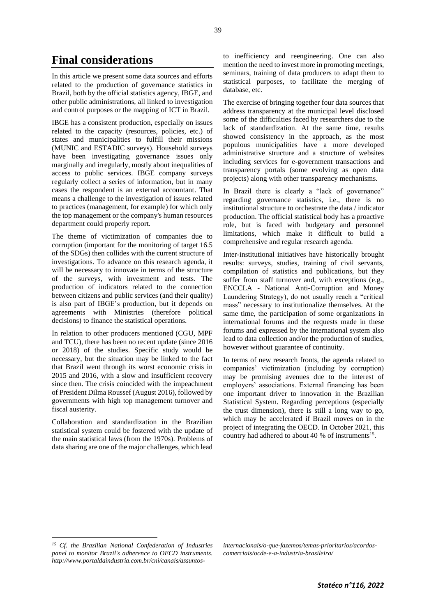# **Final considerations**

In this article we present some data sources and efforts related to the production of governance statistics in Brazil, both by the official statistics agency, IBGE, and other public administrations, all linked to investigation and control purposes or the mapping of ICT in Brazil.

IBGE has a consistent production, especially on issues related to the capacity (resources, policies, etc.) of states and municipalities to fulfill their missions (MUNIC and ESTADIC surveys). Household surveys have been investigating governance issues only marginally and irregularly, mostly about inequalities of access to public services. IBGE company surveys regularly collect a series of information, but in many cases the respondent is an external accountant. That means a challenge to the investigation of issues related to practices (management, for example) for which only the top management or the company's human resources department could properly report.

The theme of victimization of companies due to corruption (important for the monitoring of target 16.5 of the SDGs) then collides with the current structure of investigations. To advance on this research agenda, it will be necessary to innovate in terms of the structure of the surveys, with investment and tests. The production of indicators related to the connection between citizens and public services (and their quality) is also part of IBGE's production, but it depends on agreements with Ministries (therefore political decisions) to finance the statistical operations.

In relation to other producers mentioned (CGU, MPF and TCU), there has been no recent update (since 2016 or 2018) of the studies. Specific study would be necessary, but the situation may be linked to the fact that Brazil went through its worst economic crisis in 2015 and 2016, with a slow and insufficient recovery since then. The crisis coincided with the impeachment of President Dilma Roussef (August 2016), followed by governments with high top management turnover and fiscal austerity.

Collaboration and standardization in the Brazilian statistical system could be fostered with the update of the main statistical laws (from the 1970s). Problems of data sharing are one of the major challenges, which lead to inefficiency and reengineering. One can also mention the need to invest more in promoting meetings, seminars, training of data producers to adapt them to statistical purposes, to facilitate the merging of database, etc.

The exercise of bringing together four data sources that address transparency at the municipal level disclosed some of the difficulties faced by researchers due to the lack of standardization. At the same time, results showed consistency in the approach, as the most populous municipalities have a more developed administrative structure and a structure of websites including services for e-government transactions and transparency portals (some evolving as open data projects) along with other transparency mechanisms.

In Brazil there is clearly a "lack of governance" regarding governance statistics, i.e., there is no institutional structure to orchestrate the data / indicator production. The official statistical body has a proactive role, but is faced with budgetary and personnel limitations, which make it difficult to build a comprehensive and regular research agenda.

Inter-institutional initiatives have historically brought results: surveys, studies, training of civil servants, compilation of statistics and publications, but they suffer from staff turnover and, with exceptions (e.g., ENCCLA - National Anti-Corruption and Money Laundering Strategy), do not usually reach a "critical mass" necessary to institutionalize themselves. At the same time, the participation of some organizations in international forums and the requests made in these forums and expressed by the international system also lead to data collection and/or the production of studies, however without guarantee of continuity.

In terms of new research fronts, the agenda related to companies' victimization (including by corruption) may be promising avenues due to the interest of employers' associations. External financing has been one important driver to innovation in the Brazilian Statistical System. Regarding perceptions (especially the trust dimension), there is still a long way to go, which may be accelerated if Brazil moves on in the project of integrating the OECD. In October 2021, this country had adhered to about 40 % of instruments<sup>15</sup>.

*[internacionais/o-que-fazemos/temas-prioritarios/acordos](http://www.portaldaindustria.com.br/cni/canais/assuntos-internacionais/o-que-fazemos/temas-prioritarios/acordos-comerciais/ocde-e-a-industria-brasileira/)[comerciais/ocde-e-a-industria-brasileira/](http://www.portaldaindustria.com.br/cni/canais/assuntos-internacionais/o-que-fazemos/temas-prioritarios/acordos-comerciais/ocde-e-a-industria-brasileira/)*

*<sup>15</sup> Cf. the Brazilian National Confederation of Industries panel to monitor Brazil's adherence to OECD instruments. [http://www.portaldaindustria.com.br/cni/canais/assuntos-](http://www.portaldaindustria.com.br/cni/canais/assuntos-internacionais/o-que-fazemos/temas-prioritarios/acordos-comerciais/ocde-e-a-industria-brasileira/)*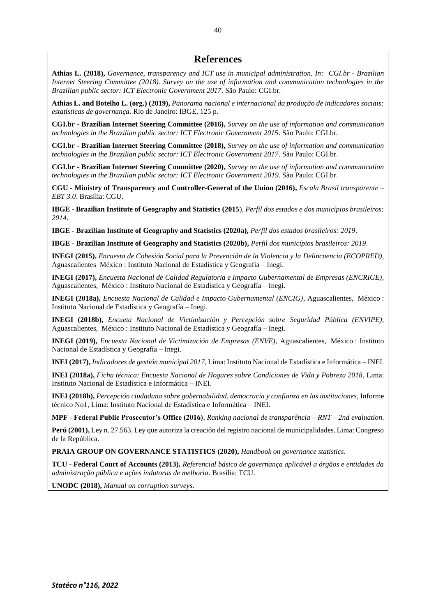**Athias L. (2018),** *Governance, transparency and ICT use in municipal administration. In: CGI.br - Brazilian Internet Steering Committee (2018). Survey on the use of information and communication technologies in the Brazilian public sector: ICT Electronic Government 2017*. São Paulo: CGI.br.

**Athias L. and Botelho L. (org.) (2019),** *Panorama nacional e internacional da produção de indicadores sociais: estatísticas de governança*. Rio de Janeiro: IBGE, 125 p.

**CGI.br - Brazilian Internet Steering Committee (2016),** *Survey on the use of information and communication technologies in the Brazilian public sector: ICT Electronic Government 2015*. São Paulo: CGI.br.

**CGI.br - Brazilian Internet Steering Committee (2018),** *Survey on the use of information and communication technologies in the Brazilian public sector: ICT Electronic Government 2017*. São Paulo: CGI.br.

**CGI.br - Brazilian Internet Steering Committee (2020),** *Survey on the use of information and communication technologies in the Brazilian public sector: ICT Electronic Government 2019*. São Paulo: CGI.br.

**CGU - Ministry of Transparency and Controller-General of the Union (2016),** *Escala Brasil transparente – EBT 3.0*. Brasília: CGU.

**IBGE - Brazilian Institute of Geography and Statistics (2015**), *Perfil dos estados e dos municípios brasileiros: 2014*.

**IBGE - Brazilian Institute of Geography and Statistics (2020a),** *Perfil dos estados brasileiros: 2019*.

**IBGE - Brazilian Institute of Geography and Statistics (2020b),** *Perfil dos municípios brasileiros: 2019*.

**INEGI (2015),** *Encuesta de Cohesión Social para la Prevención de la Violencia y la Delincuencia (ECOPRED),* Aguascalientes México : Instituto Nacional de Estadística y Geografía – Inegi.

**INEGI (2017),** *Encuesta Nacional de Calidad Regulatoria e Impacto Gubernamental de Empresas (ENCRIGE),*  Aguascalientes, México : Instituto Nacional de Estadística y Geografía – Inegi.

**INEGI (2018a),** *Encuesta Nacional de Calidad e Impacto Gubernamental (ENCIG),* Aguascalientes, México : Instituto Nacional de Estadística y Geografía – Inegi.

**INEGI (2018b),** *Encueta Nacional de Victimización y Percepción sobre Seguridad Pública (ENVIPE),*  Aguascalientes, México : Instituto Nacional de Estadística y Geografía – Inegi.

**INEGI (2019),** *Encuesta Nacional de Victimización de Empresas (ENVE),* Aguascalientes, México : Instituto Nacional de Estadística y Geografía – Inegi.

**INEI (2017),** *Indicadores de gestión municipal 2017*, Lima: Instituto Nacional de Estadística e Informática – INEI.

**INEI (2018a),** *Ficha técnica: Encuesta Nacional de Hogares sobre Condiciones de Vida y Pobreza 2018*, Lima: Instituto Nacional de Estadística e Informática – INEI.

**INEI (2018b),** *Percepción ciudadana sobre gobernabilidad, democracia y confianza en las instituciones*, Informe técnico No1, Lima: Instituto Nacional de Estadística e Informática – INEI.

**MPF - Federal Public Prosecutor's Office (2016)**, *Ranking nacional de transparência – RNT – 2nd evaluation*.

**Perú (2001),** Ley n. 27.563. Ley que autoriza la creación del registro nacional de municipalidades. Lima: Congreso de la República.

**PRAIA GROUP ON GOVERNANCE STATISTICS (2020),** *Handbook on governance statistics*.

**TCU - Federal Court of Accounts (2013),** *Referencial básico de governança aplicável a órgãos e entidades da administração pública e ações indutoras de melhoria*. Brasília: TCU.

**UNODC (2018),** *Manual on corruption surveys*.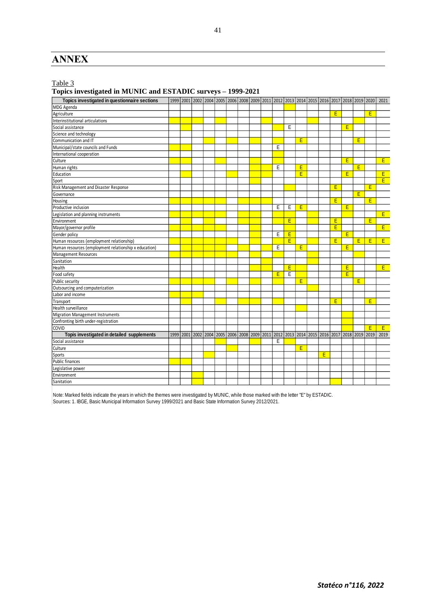# **ANNEX**

Table 3

## Topics investigated in MUNIC and ESTADIC surveys - 1999-2021

| Topics investigated in questionnaire sections         |      | 1999 2001 2002 2004 2005 2006 2008 2009 2011 2012 2013 2014 2015 2016 2017 2018 2019 2020 |      |  |                               |  |      |   |    |                     |   |      |                |   |   | 2021           |
|-------------------------------------------------------|------|-------------------------------------------------------------------------------------------|------|--|-------------------------------|--|------|---|----|---------------------|---|------|----------------|---|---|----------------|
| MDG Agenda                                            |      |                                                                                           |      |  |                               |  |      |   |    |                     |   |      |                |   |   |                |
| Agriculture                                           |      |                                                                                           |      |  |                               |  |      |   |    |                     |   | E    |                |   | E |                |
| Interinstitutional articulations                      |      |                                                                                           |      |  |                               |  |      |   |    |                     |   |      |                |   |   |                |
| Social assistance                                     |      |                                                                                           |      |  |                               |  |      | Ε |    |                     |   |      | E              |   |   |                |
| Science and technology                                |      |                                                                                           |      |  |                               |  |      |   |    |                     |   |      |                |   |   |                |
| Communication and IT                                  |      |                                                                                           |      |  |                               |  |      |   | Ε  |                     |   |      |                | E |   |                |
| Municipal/state councils and Funds                    |      |                                                                                           |      |  |                               |  | E    |   |    |                     |   |      |                |   |   |                |
| International cooperation                             |      |                                                                                           |      |  |                               |  |      |   |    |                     |   |      |                |   |   |                |
| Culture                                               |      |                                                                                           |      |  |                               |  |      |   |    |                     |   |      | E              |   |   | E              |
| Human rights                                          |      |                                                                                           |      |  |                               |  | E    |   | E  |                     |   |      |                | E |   |                |
| Education                                             |      |                                                                                           |      |  |                               |  |      |   | Ε  |                     |   |      | E              |   |   | E              |
| Sport                                                 |      |                                                                                           |      |  |                               |  |      |   |    |                     |   |      |                |   |   | $\overline{E}$ |
| Risk Management and Disaster Response                 |      |                                                                                           |      |  |                               |  |      |   |    |                     |   | Ε    |                |   | Ē |                |
| Governance                                            |      |                                                                                           |      |  |                               |  |      |   |    |                     |   |      |                | E |   |                |
| Housing                                               |      |                                                                                           |      |  |                               |  |      |   |    |                     |   | E    |                |   | E |                |
| Productive inclusion                                  |      |                                                                                           |      |  |                               |  | E    | E | E  |                     |   |      | E              |   |   |                |
| Legislation and planning instruments                  |      |                                                                                           |      |  |                               |  |      |   |    |                     |   |      |                |   |   | E              |
| Environment                                           |      |                                                                                           |      |  |                               |  |      | Ε |    |                     |   | Ε    |                |   | Ε |                |
| Mayor/governor profile                                |      |                                                                                           |      |  |                               |  |      |   |    |                     |   | Ē    |                |   |   | E              |
| Gender policy                                         |      |                                                                                           |      |  |                               |  | E    | Ε |    |                     |   |      | Ē              |   |   |                |
| Human resources (employment relationship)             |      |                                                                                           |      |  |                               |  |      | E |    |                     |   | E    |                | E | E | E              |
| Human resources (employment relationship x education) |      |                                                                                           |      |  |                               |  | E    |   | E  |                     |   |      | E              |   |   |                |
| Management Resources                                  |      |                                                                                           |      |  |                               |  |      |   |    |                     |   |      |                |   |   |                |
| Sanitation                                            |      |                                                                                           |      |  |                               |  |      |   |    |                     |   |      |                |   |   |                |
| Health                                                |      |                                                                                           |      |  |                               |  |      | Ε |    |                     |   |      | Ε              |   |   | E.             |
| Food safety                                           |      |                                                                                           |      |  |                               |  | E    | Ε |    |                     |   |      | Ē              |   |   |                |
| Public security                                       |      |                                                                                           |      |  |                               |  |      |   | E. |                     |   |      |                | E |   |                |
| Outsourcing and computerization                       |      |                                                                                           |      |  |                               |  |      |   |    |                     |   |      |                |   |   |                |
| Labor and income                                      |      |                                                                                           |      |  |                               |  |      |   |    |                     |   |      |                |   |   |                |
| Transport                                             |      |                                                                                           |      |  |                               |  |      |   |    |                     |   | Ε    |                |   | E |                |
| Health surveillance                                   |      |                                                                                           |      |  |                               |  |      |   |    |                     |   |      |                |   |   |                |
| Migration Management Instruments                      |      |                                                                                           |      |  |                               |  |      |   |    |                     |   |      |                |   |   |                |
| Confronting birth under-registration                  |      |                                                                                           |      |  |                               |  |      |   |    |                     |   |      |                |   |   |                |
| <b>COVID</b>                                          |      |                                                                                           |      |  |                               |  |      |   |    |                     |   |      |                |   | E | E              |
| Topis investigated in detailed supplements            | 1999 | 2001                                                                                      | 2002 |  | 2004 2005 2006 2008 2009 2011 |  | 2012 |   |    | 2013 2014 2015 2016 |   | 2017 | 2018 2019 2019 |   |   | 2019           |
| Social assistance                                     |      |                                                                                           |      |  |                               |  | Е    |   |    |                     |   |      |                |   |   |                |
| Culture                                               |      |                                                                                           |      |  |                               |  |      |   | E  |                     |   |      |                |   |   |                |
| Sports                                                |      |                                                                                           |      |  |                               |  |      |   |    |                     | E |      |                |   |   |                |
| Public finances                                       |      |                                                                                           |      |  |                               |  |      |   |    |                     |   |      |                |   |   |                |
| Legislative power                                     |      |                                                                                           |      |  |                               |  |      |   |    |                     |   |      |                |   |   |                |
| Environment                                           |      |                                                                                           |      |  |                               |  |      |   |    |                     |   |      |                |   |   |                |
| Sanitation                                            |      |                                                                                           |      |  |                               |  |      |   |    |                     |   |      |                |   |   |                |
|                                                       |      |                                                                                           |      |  |                               |  |      |   |    |                     |   |      |                |   |   |                |

Note: Marked fields indicate the years in which the themes were investigated by MUNIC, while those marked with the letter "E" by ESTADIC. Sources: 1. IBGE, Basic Municipal Information Survey 1999/2021 and Basic State Information Survey 2012/2021.